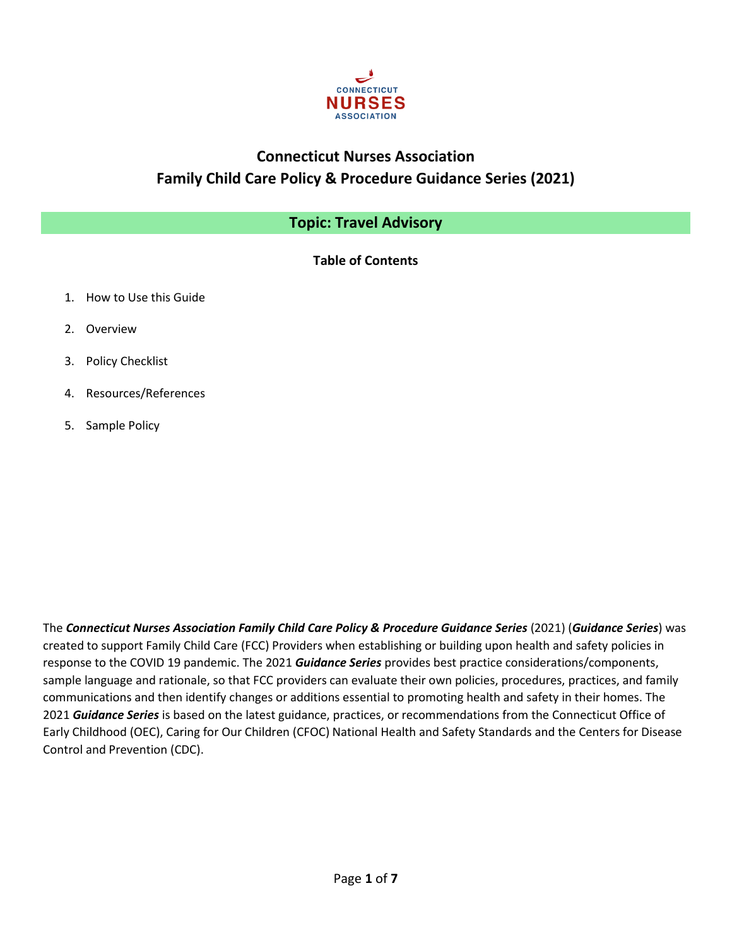

# **Connecticut Nurses Association Family Child Care Policy & Procedure Guidance Series (2021)**

# **Topic: Travel Advisory**

**Table of Contents**

- 1. How to Use this Guide
- 2. Overview
- 3. Policy Checklist
- 4. Resources/References
- 5. Sample Policy

The *Connecticut Nurses Association Family Child Care Policy & Procedure Guidance Series* (2021) (*Guidance Series*) was created to support Family Child Care (FCC) Providers when establishing or building upon health and safety policies in response to the COVID 19 pandemic. The 2021 *Guidance Series* provides best practice considerations/components, sample language and rationale, so that FCC providers can evaluate their own policies, procedures, practices, and family communications and then identify changes or additions essential to promoting health and safety in their homes. The 2021 *Guidance Series* is based on the latest guidance, practices, or recommendations from the Connecticut Office of Early Childhood (OEC), Caring for Our Children (CFOC) National Health and Safety Standards and the Centers for Disease Control and Prevention (CDC).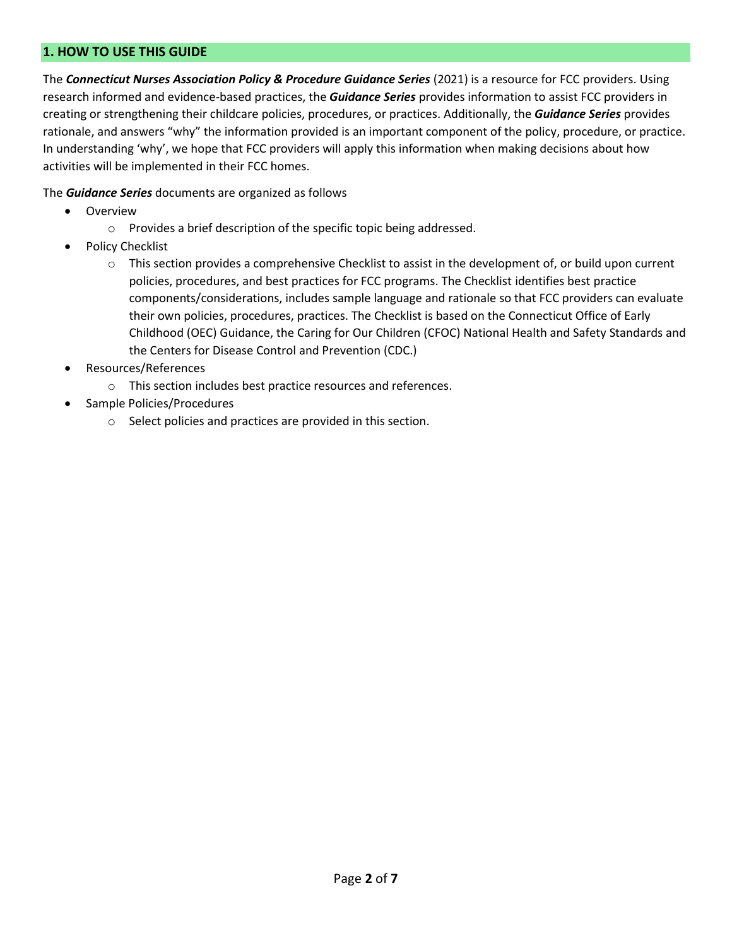# **1. HOW TO USE THIS GUIDE**

The *Connecticut Nurses Association Policy & Procedure Guidance Series* (2021) is a resource for FCC providers. Using research informed and evidence-based practices, the *Guidance Series* provides information to assist FCC providers in creating or strengthening their childcare policies, procedures, or practices. Additionally, the *Guidance Series* provides rationale, and answers "why" the information provided is an important component of the policy, procedure, or practice. In understanding 'why', we hope that FCC providers will apply this information when making decisions about how activities will be implemented in their FCC homes.

The *Guidance Series* documents are organized as follows

- Overview
	- o Provides a brief description of the specific topic being addressed.
- Policy Checklist
	- $\circ$  This section provides a comprehensive Checklist to assist in the development of, or build upon current policies, procedures, and best practices for FCC programs. The Checklist identifies best practice components/considerations, includes sample language and rationale so that FCC providers can evaluate their own policies, procedures, practices. The Checklist is based on the Connecticut Office of Early Childhood (OEC) Guidance, the Caring for Our Children (CFOC) National Health and Safety Standards and the Centers for Disease Control and Prevention (CDC.)
- Resources/References
	- o This section includes best practice resources and references.
- Sample Policies/Procedures
	- o Select policies and practices are provided in this section.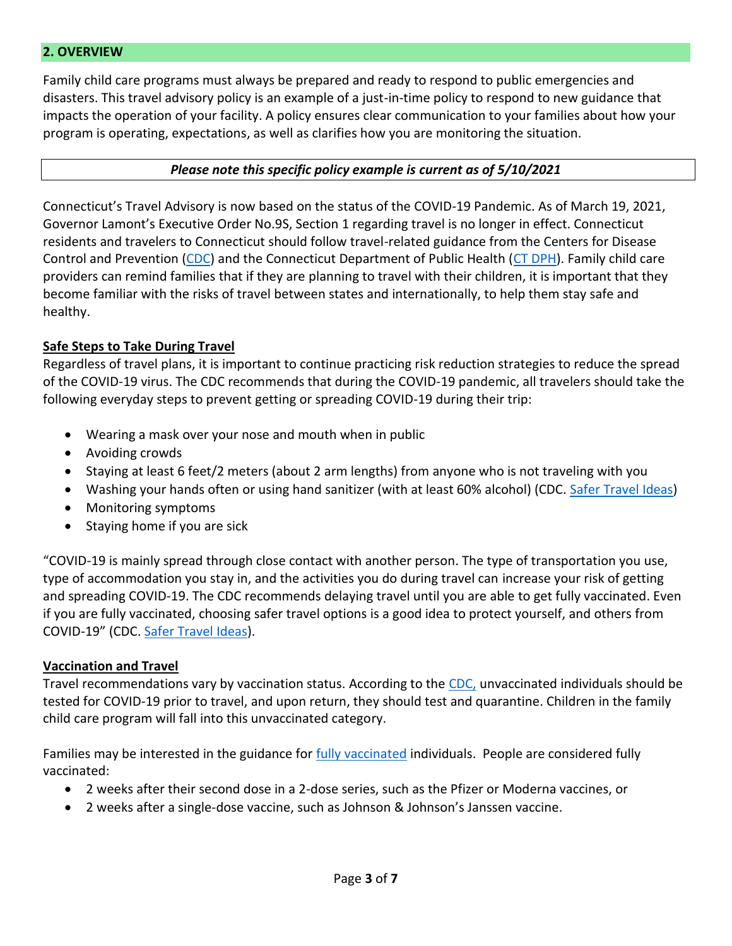# **2. OVERVIEW**

Family child care programs must always be prepared and ready to respond to public emergencies and disasters. This travel advisory policy is an example of a just-in-time policy to respond to new guidance that impacts the operation of your facility. A policy ensures clear communication to your families about how your program is operating, expectations, as well as clarifies how you are monitoring the situation.

#### *Please note this specific policy example is current as of 5/10/2021*

Connecticut's Travel Advisory is now based on the status of the COVID-19 Pandemic. As of March 19, 2021, Governor Lamont's Executive Order No.9S, Section 1 regarding travel is no longer in effect. Connecticut residents and travelers to Connecticut should follow travel-related guidance from the Centers for Disease Control and Prevention [\(CDC\)](https://www.cdc.gov/coronavirus/2019-ncov/travelers/travel-during-covid19.html) and the Connecticut Department of Public Health [\(CT DPH\)](https://portal.ct.gov/Coronavirus/travel). Family child care providers can remind families that if they are planning to travel with their children, it is important that they become familiar with the risks of travel between states and internationally, to help them stay safe and healthy.

#### **Safe Steps to Take During Travel**

Regardless of travel plans, it is important to continue practicing risk reduction strategies to reduce the spread of the COVID-19 virus. The CDC recommends that during the COVID-19 pandemic, all travelers should take the following everyday steps to prevent getting or spreading COVID-19 during their trip:

- Wearing a mask over your nose and mouth when in public
- Avoiding crowds
- Staying at least 6 feet/2 meters (about 2 arm lengths) from anyone who is not traveling with you
- Washing your hands often or using hand sanitizer (with at least 60% alcohol) (CDC. [Safer Travel Ideas\)](https://www.cdc.gov/coronavirus/2019-ncov/travelers/travel-risk.html)
- Monitoring symptoms
- Staying home if you are sick

"COVID-19 is mainly spread through close contact with another person. The type of transportation you use, type of accommodation you stay in, and the activities you do during travel can increase your risk of getting and spreading COVID-19. The CDC recommends delaying travel until you are able to get fully vaccinated. Even if you are fully vaccinated, choosing safer travel options is a good idea to protect yourself, and others from COVID-19" (CDC. [Safer Travel Ideas\)](https://www.cdc.gov/coronavirus/2019-ncov/travelers/travel-risk.html).

#### **Vaccination and Travel**

Travel recommendations vary by vaccination status. According to the [CDC,](https://www.cdc.gov/coronavirus/2019-ncov/vaccines/fully-vaccinated.html) unvaccinated individuals should be tested for COVID-19 prior to travel, and upon return, they should test and quarantine. Children in the family child care program will fall into this unvaccinated category.

Families may be interested in the guidance for [fully vaccinated](https://www.cdc.gov/coronavirus/2019-ncov/vaccines/fully-vaccinated.html) individuals. People are considered fully vaccinated:

- 2 weeks after their second dose in a 2-dose series, such as the Pfizer or Moderna vaccines, or
- 2 weeks after a single-dose vaccine, such as Johnson & Johnson's Janssen vaccine.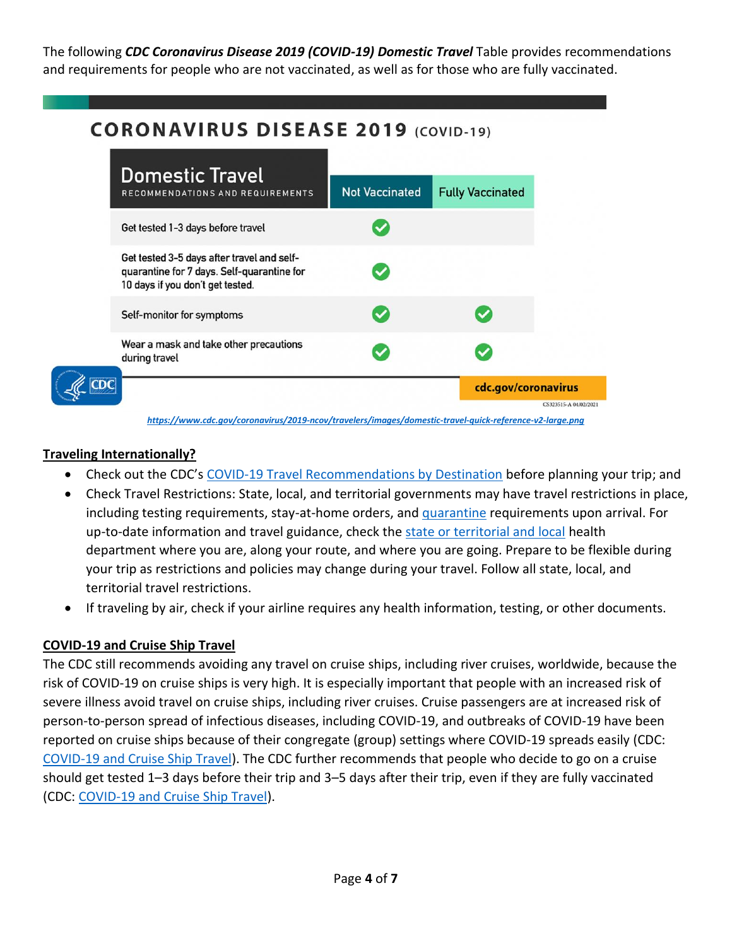The following *CDC Coronavirus Disease 2019 (COVID-19) Domestic Travel* Table provides recommendations and requirements for people who are not vaccinated, as well as for those who are fully vaccinated.

# **CORONAVIRUS DISEASE 2019 (COVID-19)**



# **Traveling Internationally?**

- Check out the CDC's [COVID-19 Travel Recommendations by Destination](https://www.cdc.gov/coronavirus/2019-ncov/travelers/map-and-travel-notices.html) before planning your trip; and
- Check Travel Restrictions: State, local, and territorial governments may have travel restrictions in place, including testing requirements, stay-at-home orders, and [quarantine](https://www.cdc.gov/coronavirus/2019-ncov/if-you-are-sick/quarantine.html) requirements upon arrival. For up-to-date information and travel guidance, check the [state or territorial and local](https://www.cdc.gov/coronavirus/2019-ncov/travelers/travel-planner/index.html) health department where you are, along your route, and where you are going. Prepare to be flexible during your trip as restrictions and policies may change during your travel. Follow all state, local, and territorial travel restrictions.
- If traveling by air, check if your airline requires any health information, testing, or other documents.

# **COVID-19 and Cruise Ship Travel**

The CDC still recommends avoiding any travel on cruise ships, including river cruises, worldwide, because the risk of COVID-19 on cruise ships is very high. It is especially important that people with an increased risk of severe illness avoid travel on cruise ships, including river cruises. Cruise passengers are at increased risk of person-to-person spread of infectious diseases, including COVID-19, and outbreaks of COVID-19 have been reported on cruise ships because of their congregate (group) settings where COVID-19 spreads easily (CDC: [COVID-19 and Cruise Ship Travel\)](https://wwwnc.cdc.gov/travel/notices/covid-4/coronavirus-cruise-ship). The CDC further recommends that people who decide to go on a cruise should get tested 1–3 days before their trip and 3–5 days after their trip, even if they are fully vaccinated (CDC: [COVID-19 and Cruise Ship Travel\)](https://wwwnc.cdc.gov/travel/notices/covid-4/coronavirus-cruise-ship).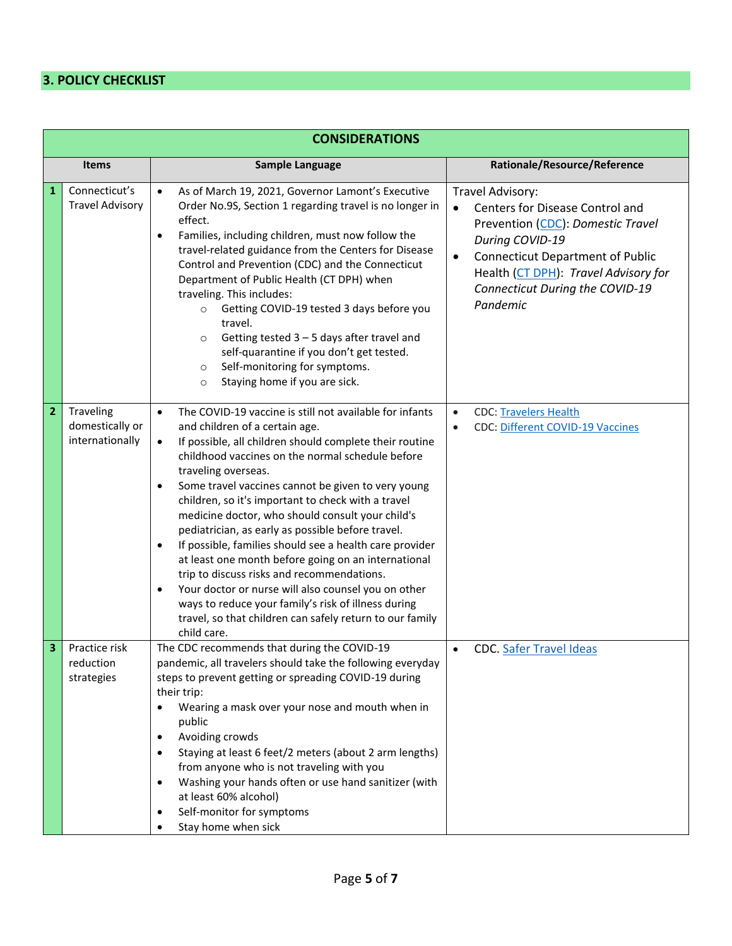# **3. POLICY CHECKLIST**

| <b>CONSIDERATIONS</b>   |                                                 |                                                                                                                                                                                                                                                                                                                                                                                                                                                                                                                                                                                                                                                                                                                                                                                                                                                                                |                                                                                                                                                                                                                                                            |  |  |  |  |  |  |
|-------------------------|-------------------------------------------------|--------------------------------------------------------------------------------------------------------------------------------------------------------------------------------------------------------------------------------------------------------------------------------------------------------------------------------------------------------------------------------------------------------------------------------------------------------------------------------------------------------------------------------------------------------------------------------------------------------------------------------------------------------------------------------------------------------------------------------------------------------------------------------------------------------------------------------------------------------------------------------|------------------------------------------------------------------------------------------------------------------------------------------------------------------------------------------------------------------------------------------------------------|--|--|--|--|--|--|
| <b>Items</b>            |                                                 | Sample Language                                                                                                                                                                                                                                                                                                                                                                                                                                                                                                                                                                                                                                                                                                                                                                                                                                                                | Rationale/Resource/Reference                                                                                                                                                                                                                               |  |  |  |  |  |  |
| 1                       | Connecticut's<br><b>Travel Advisory</b>         | As of March 19, 2021, Governor Lamont's Executive<br>$\bullet$<br>Order No.9S, Section 1 regarding travel is no longer in<br>effect.<br>Families, including children, must now follow the<br>$\bullet$<br>travel-related guidance from the Centers for Disease<br>Control and Prevention (CDC) and the Connecticut<br>Department of Public Health (CT DPH) when<br>traveling. This includes:<br>Getting COVID-19 tested 3 days before you<br>$\circ$<br>travel.<br>Getting tested $3 - 5$ days after travel and<br>$\circ$<br>self-quarantine if you don't get tested.<br>Self-monitoring for symptoms.<br>$\circ$<br>Staying home if you are sick.<br>$\circ$                                                                                                                                                                                                                 | Travel Advisory:<br>Centers for Disease Control and<br>Prevention (CDC): Domestic Travel<br>During COVID-19<br><b>Connecticut Department of Public</b><br>$\bullet$<br>Health (CT DPH): Travel Advisory for<br>Connecticut During the COVID-19<br>Pandemic |  |  |  |  |  |  |
| $\overline{\mathbf{2}}$ | Traveling<br>domestically or<br>internationally | The COVID-19 vaccine is still not available for infants<br>$\bullet$<br>and children of a certain age.<br>If possible, all children should complete their routine<br>$\bullet$<br>childhood vaccines on the normal schedule before<br>traveling overseas.<br>Some travel vaccines cannot be given to very young<br>$\bullet$<br>children, so it's important to check with a travel<br>medicine doctor, who should consult your child's<br>pediatrician, as early as possible before travel.<br>If possible, families should see a health care provider<br>$\bullet$<br>at least one month before going on an international<br>trip to discuss risks and recommendations.<br>Your doctor or nurse will also counsel you on other<br>$\bullet$<br>ways to reduce your family's risk of illness during<br>travel, so that children can safely return to our family<br>child care. | <b>CDC: Travelers Health</b><br>$\bullet$<br><b>CDC: Different COVID-19 Vaccines</b><br>$\bullet$                                                                                                                                                          |  |  |  |  |  |  |
| 3                       | Practice risk<br>reduction<br>strategies        | The CDC recommends that during the COVID-19<br>pandemic, all travelers should take the following everyday<br>steps to prevent getting or spreading COVID-19 during<br>their trip:<br>Wearing a mask over your nose and mouth when in<br>$\bullet$<br>public<br>Avoiding crowds<br>$\bullet$<br>Staying at least 6 feet/2 meters (about 2 arm lengths)<br>$\bullet$<br>from anyone who is not traveling with you<br>Washing your hands often or use hand sanitizer (with<br>$\bullet$<br>at least 60% alcohol)<br>Self-monitor for symptoms<br>$\bullet$<br>Stay home when sick<br>$\bullet$                                                                                                                                                                                                                                                                                    | <b>CDC. Safer Travel Ideas</b><br>$\bullet$                                                                                                                                                                                                                |  |  |  |  |  |  |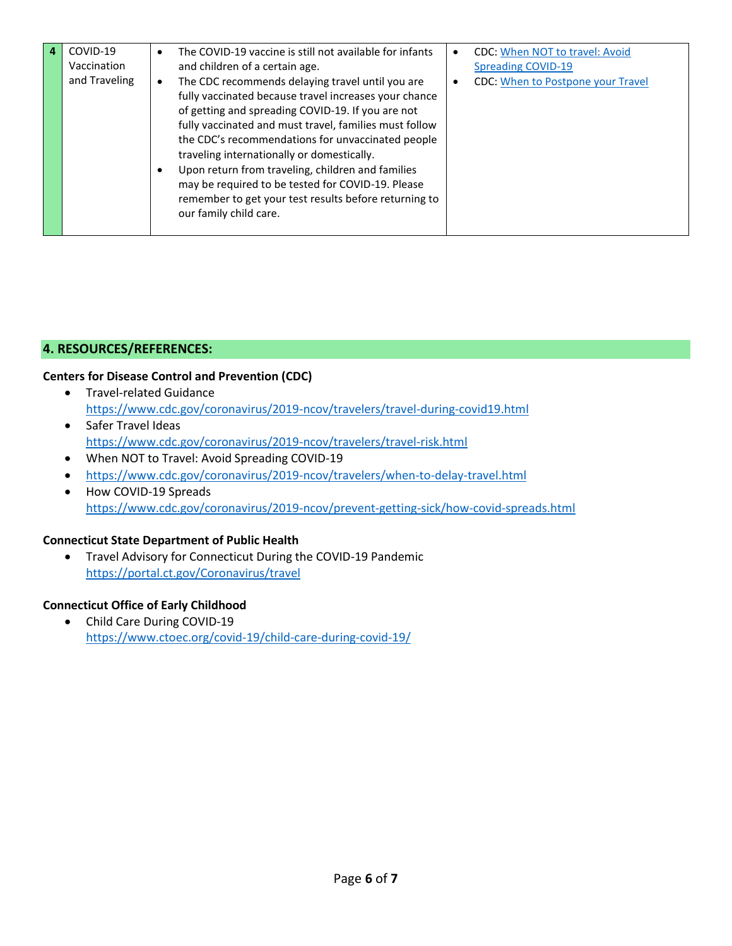| COVID-19      | $\bullet$              | The COVID-19 vaccine is still not available for infants                                                                                                                                                                                                                                                                                                                                                                                                                                                                  | ٠ | <b>CDC: When NOT to travel: Avoid</b>    |
|---------------|------------------------|--------------------------------------------------------------------------------------------------------------------------------------------------------------------------------------------------------------------------------------------------------------------------------------------------------------------------------------------------------------------------------------------------------------------------------------------------------------------------------------------------------------------------|---|------------------------------------------|
| Vaccination   |                        | and children of a certain age.                                                                                                                                                                                                                                                                                                                                                                                                                                                                                           |   | <b>Spreading COVID-19</b>                |
| and Traveling | $\bullet$<br>$\bullet$ | The CDC recommends delaying travel until you are<br>fully vaccinated because travel increases your chance<br>of getting and spreading COVID-19. If you are not<br>fully vaccinated and must travel, families must follow<br>the CDC's recommendations for unvaccinated people<br>traveling internationally or domestically.<br>Upon return from traveling, children and families<br>may be required to be tested for COVID-19. Please<br>remember to get your test results before returning to<br>our family child care. | ٠ | <b>CDC: When to Postpone your Travel</b> |
|               |                        |                                                                                                                                                                                                                                                                                                                                                                                                                                                                                                                          |   |                                          |

# **4. RESOURCES/REFERENCES:**

## **Centers for Disease Control and Prevention (CDC)**

- Travel-related Guidance <https://www.cdc.gov/coronavirus/2019-ncov/travelers/travel-during-covid19.html>
- Safer Travel Ideas <https://www.cdc.gov/coronavirus/2019-ncov/travelers/travel-risk.html>
- When NOT to Travel: Avoid Spreading COVID-19
- <https://www.cdc.gov/coronavirus/2019-ncov/travelers/when-to-delay-travel.html>
- How COVID-19 Spreads <https://www.cdc.gov/coronavirus/2019-ncov/prevent-getting-sick/how-covid-spreads.html>

#### **Connecticut State Department of Public Health**

• Travel Advisory for Connecticut During the COVID-19 Pandemic <https://portal.ct.gov/Coronavirus/travel>

## **Connecticut Office of Early Childhood**

• Child Care During COVID-19 <https://www.ctoec.org/covid-19/child-care-during-covid-19/>